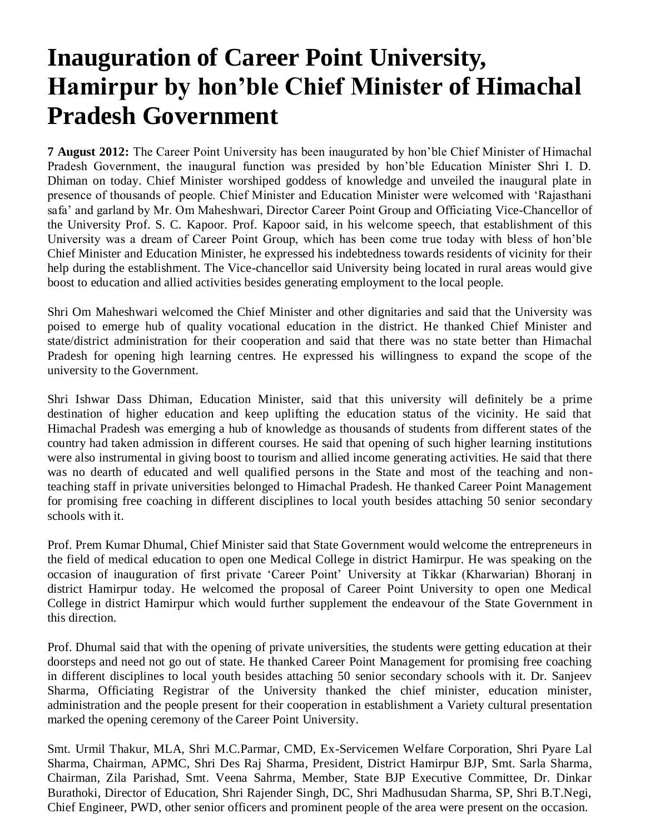## **Inauguration of Career Point University, Hamirpur by hon'ble Chief Minister of Himachal Pradesh Government**

**7 August 2012:** The Career Point University has been inaugurated by hon'ble Chief Minister of Himachal Pradesh Government, the inaugural function was presided by hon'ble Education Minister Shri I. D. Dhiman on today. Chief Minister worshiped goddess of knowledge and unveiled the inaugural plate in presence of thousands of people. Chief Minister and Education Minister were welcomed with 'Rajasthani safa' and garland by Mr. Om Maheshwari, Director Career Point Group and Officiating Vice-Chancellor of the University Prof. S. C. Kapoor. Prof. Kapoor said, in his welcome speech, that establishment of this University was a dream of Career Point Group, which has been come true today with bless of hon'ble Chief Minister and Education Minister, he expressed his indebtedness towards residents of vicinity for their help during the establishment. The Vice-chancellor said University being located in rural areas would give boost to education and allied activities besides generating employment to the local people.

Shri Om Maheshwari welcomed the Chief Minister and other dignitaries and said that the University was poised to emerge hub of quality vocational education in the district. He thanked Chief Minister and state/district administration for their cooperation and said that there was no state better than Himachal Pradesh for opening high learning centres. He expressed his willingness to expand the scope of the university to the Government.

Shri Ishwar Dass Dhiman, Education Minister, said that this university will definitely be a prime destination of higher education and keep uplifting the education status of the vicinity. He said that Himachal Pradesh was emerging a hub of knowledge as thousands of students from different states of the country had taken admission in different courses. He said that opening of such higher learning institutions were also instrumental in giving boost to tourism and allied income generating activities. He said that there was no dearth of educated and well qualified persons in the State and most of the teaching and nonteaching staff in private universities belonged to Himachal Pradesh. He thanked Career Point Management for promising free coaching in different disciplines to local youth besides attaching 50 senior secondary schools with it.

Prof. Prem Kumar Dhumal, Chief Minister said that State Government would welcome the entrepreneurs in the field of medical education to open one Medical College in district Hamirpur. He was speaking on the occasion of inauguration of first private 'Career Point' University at Tikkar (Kharwarian) Bhoranj in district Hamirpur today. He welcomed the proposal of Career Point University to open one Medical College in district Hamirpur which would further supplement the endeavour of the State Government in this direction.

Prof. Dhumal said that with the opening of private universities, the students were getting education at their doorsteps and need not go out of state. He thanked Career Point Management for promising free coaching in different disciplines to local youth besides attaching 50 senior secondary schools with it. Dr. Sanjeev Sharma, Officiating Registrar of the University thanked the chief minister, education minister, administration and the people present for their cooperation in establishment a Variety cultural presentation marked the opening ceremony of the Career Point University.

Smt. Urmil Thakur, MLA, Shri M.C.Parmar, CMD, Ex-Servicemen Welfare Corporation, Shri Pyare Lal Sharma, Chairman, APMC, Shri Des Raj Sharma, President, District Hamirpur BJP, Smt. Sarla Sharma, Chairman, Zila Parishad, Smt. Veena Sahrma, Member, State BJP Executive Committee, Dr. Dinkar Burathoki, Director of Education, Shri Rajender Singh, DC, Shri Madhusudan Sharma, SP, Shri B.T.Negi, Chief Engineer, PWD, other senior officers and prominent people of the area were present on the occasion.